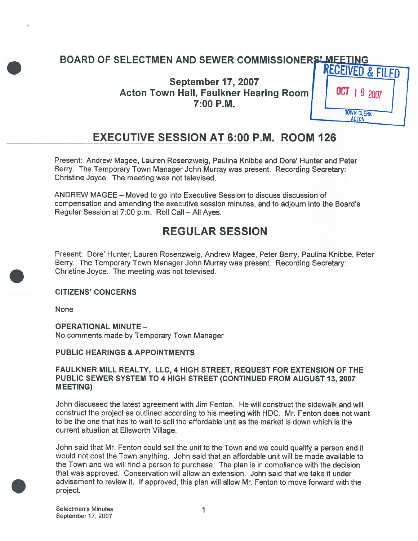# BOARD OF SELECTMEN AND SEWER COMMISSIONERS' MEETING

**September 17, 2007** Acton Town Hall, Faulkner Hearing Room | | 0CT | 8 2007 7:00 P.M.



# EXECUTIVE SESSION AT 6:00 P.M.\_ROOM 126

Present: Andrew Magee, Lauren Rosenzweig, Paulina Knibbe and Dore' Hunter and Peter Berry. The Temporary Town Manager John Murray was present. Recording Secretary: Christine Joyce. The meeting was not televised.

ANDREW MAGEE — Moved to go into Executive Session to discuss discussion of compensation and amending the executive session minutes, and to adjourn into the Board's Regular Session at 7:00 p.m. Roll Call — All Ayes.

# REGULAR SESSION

Present: Dore' Hunter, Lauren Rosenzweig, Andrew Magee, Peter Berry, Paulina Knibbe, Peter Berry. The Temporary Town Manager John Murray was present. Recording Secretary: Christine Joyce. The meeting was not televised.

### CITIZENS' CONCERNS

None

# OPERATIONAL MINUTE —

No comments made by Temporary Town Manager

### PUBLIC HEARINGS & APPOINTMENTS

### FAULKNER MILL REALTY, LLC, 4 HIGH STREET, REQUEST FOR EXTENSION OF THE PUBLIC SEWER SYSTEM TO 4 HIGH STREET (CONTINUED FROM AUGUST 13, 2007 MEETING)

John discussed the latest agreemen<sup>t</sup> with Jim Fenton. He will construct the sidewalk and will construct the project as outlined according to his meeting with HDC. Mr. Fenton does not want to be the one that has to wait to sell the affordable unit as the market is down which is the current situation at Ellsworth Village.

John said that Mr. Fenton could sell the unit to the Town and we could qualify <sup>a</sup> person and it would not cost the Town anything. John said that an affordable unit will be made available to the Town and we will find <sup>a</sup> person to purchase. The <sup>p</sup>lan is in compliance with the decision that was approved. Conservation will allow an extension. John said that we take it under advisement to review it. If approved, this plan will allow Mr. Fenton to move forward with the project.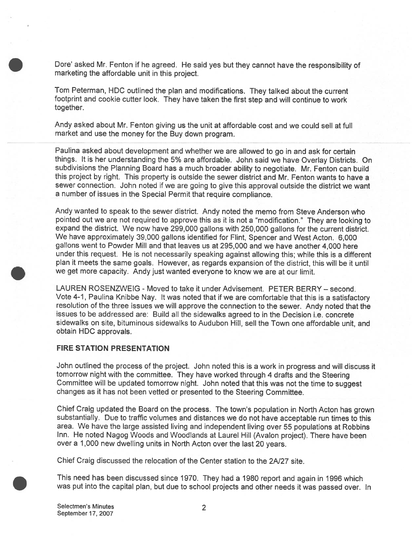Dote' asked Mr. Fenton if he agreed. He said yes but they cannot have the responsibility of marketing the affordable unit in this project.

Tom Peterman, HDC outlined the <sup>p</sup>lan and modifications. They talked about the current footprint and cookie cutter look. They have taken the first step and will continue to work together.

Andy asked about Mr. Fenton giving us the unit at affordable cost and we could sell at full market and use the money for the Buy down program.

Paulina asked about development and whether we are allowed to go in and ask for certain things. It is her understanding the 5% are affordable. John said we have Overlay Districts. On subdivisions the Planning Board has <sup>a</sup> much broader ability to negotiate. Mr. Fenton can build this project by right. This property is outside the sewer district and Mr. Fenton wants to have <sup>a</sup> sewer connection. John noted if we are going to <sup>g</sup>ive this approva<sup>l</sup> outside the district we want <sup>a</sup> number of issues in the Special Permit that require compliance.

Andy wanted to spea<sup>k</sup> to the sewer district. Andy noted the memo from Steve Anderson who pointed out we are not required to approve this as it is not a "modification." They are looking to expan<sup>d</sup> the district. We now have 299,000 gallons with 250,000 gallons for the current district. We have approximately 39,000 gallons identified for Flint, Spencer and West Acton. 6,000 gallons went to Powder Mill and that leaves us at 295,000 and we have another 4,000 here under this request. He is not necessarily speaking against allowing this; while this is <sup>a</sup> different <sup>p</sup>lan it meets the same goals. However, as regards expansion of the district, this will be it until we ge<sup>t</sup> more capacity. Andy just wanted everyone to know we are at our limit.

LAUREN ROSENZWEIG - Moved to take it under Advisement. PETER BERRY — second. Vote 4-1, Paulina Knibbe Nay. It was noted that if we are comfortable that this is <sup>a</sup> satisfactory resolution of the three issues we will approve the connection to the sewer. Andy noted that the issues to be addressed are: Build all the sidewalks agreed to in the Decision i.e. concrete sidewalks on site, bituminous sidewalks to Audubon Hill, sell the Town one affordable unit, and obtain HDC approvals.

#### FIRE STATION PRESENTATION

John outlined the process of the project. John noted this is <sup>a</sup> work in progress and will discuss it tomorrow night with the committee. They have worked through <sup>4</sup> drafts and the Steering Committee will be updated tomorrow night. John noted that this was not the time to sugges<sup>t</sup> changes as it has not been vetted or presented to the Steering Committee.

Chief Craig updated the Board on the process. The town's population in North Acton has grown substantially. Due to traffic volumes and distances we do not have acceptable run times to this area. We have the large assisted living and independent living over 55 populations at Robbins Inn. He noted Nagog Woods and Woodlands at Laurel Hill (Avalon project). There have been over <sup>a</sup> 1,000 new dwelling units in North Acton over the last 20 years.

Chief Craig discussed the relocation of the Center station to the 2N27 site.

This need has been discussed since 1970. They had <sup>a</sup> <sup>1980</sup> repor<sup>t</sup> and again in <sup>1996</sup> which was pu<sup>t</sup> into the capital <sup>p</sup>lan, but due to school projects and other needs it was passe<sup>d</sup> over. In

Selectmen's Minutes 2 September 17, 2007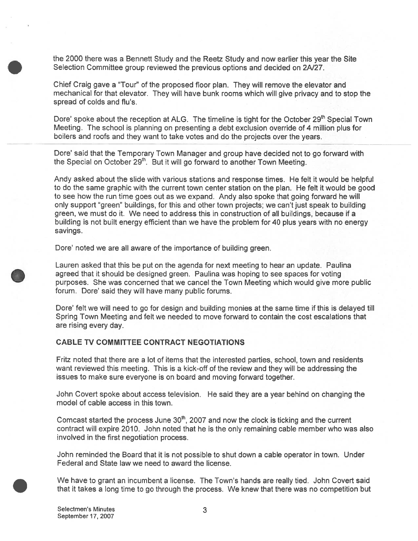the 2000 there was <sup>a</sup> Bennett Study and the Reetz Study and now earlier this year the Site Selection Committee group reviewed the previous options and decided on 2N27.

Chief Craig gave <sup>a</sup> "Tour" of the proposed floor plan. They will remove the elevator and mechanical for that elevator. They will have bunk rooms which will give privacy and to stop the spread of colds and flu's.

Dore' spoke about the reception at ALG. The timeline is tight for the October 29<sup>th</sup> Special Town Meeting. The school is planning on presenting <sup>a</sup> debt exclusion override of 4 million plus for boilers and roofs and they want to take votes and do the projects over the years.

Dore' said that the Temporary Town Manager and group have decided not to go forward with the Special on October  $29<sup>th</sup>$ . But it will go forward to another Town Meeting.

Andy asked about the slide with various stations and response times. He felt it would be helpful to do the same graphic with the current town center station on the plan. He felt it would be good to see how the run time goes out as we expand. Andy also spoke that going forward he will only suppor<sup>t</sup> "green" buildings, for this and other town projects; we can't just speak to building green, we must do it. We need to address this in construction of all buildings, because if <sup>a</sup> building is not built energy efficient than we have the problem for 40 plus years with no energy savings.

Dore' noted we are all aware of the importance of building green.

Lauren asked that this be pu<sup>t</sup> on the agenda for next meeting to hear an update. Paulina agreed that it should be designed green. Paulina was hoping to see spaces for voting purposes. She was concerned that we cancel the Town Meeting which would give more public forum. Dore' said they will have many public forums.

Dore' felt we will need to go for design and building monies at the same time if this is delayed till Spring Town Meeting and felt we needed to move forward to contain the cost escalations that are rising every day.

### CABLE TV COMMITTEE CONTRACT NEGOTIATIONS

Fritz noted that there are <sup>a</sup> lot of items that the interested parties, school, town and residents want reviewed this meeting. This is <sup>a</sup> kick-off of the review and they will be addressing the issues to make sure everyone is on board and moving forward together.

John Covert spoke about access television. He said they are <sup>a</sup> year behind on changing the model of cable access in this town.

Comcast started the process June  $30<sup>th</sup>$ , 2007 and now the clock is ticking and the current contract will expire 2010. John noted that he is the only remaining cable member who was also involved in the first negotiation process.

John reminded the Board that it is not possible to shut down <sup>a</sup> cable operator in town. Under Federal and State law we need to award the license.

We have to gran<sup>t</sup> an incumbent <sup>a</sup> license. The Town's hands are really tied. John Covert said that it takes <sup>a</sup> long time to go through the process. We knew that there was no competition but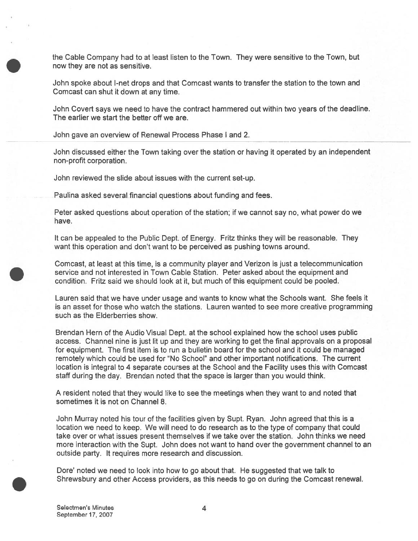the Cable Company had to at least listen to the Town. They were sensitive to the Town, but now they are not as sensitive.

John spoke about I-net drops and that Comcast wants to transfer the station to the town and Comcast can shut it down at any time.

John Covert says we need to have the contract hammered out within two years of the deadline. The earlier we start the better off we are.

John gave an overview of Renewal Process Phase I and 2.

John discussed either the Town taking over the station or having it operated by an independent non-profit corporation.

John reviewed the slide about issues with the current set-up.

Paulina asked several financial questions about funding and fees.

Peter asked questions about operation of the station; if we cannot say no, what power do we have.

It can be appealed to the Public Dept. of Energy. Fritz thinks they will be reasonable. They want this operation and don't want to be perceived as pushing towns around.

Comcast, at least at this time, is <sup>a</sup> community player and Verizon is just <sup>a</sup> telecommunication service and not interested in Town Cable Station. Peter asked about the equipment and condition. Fritz said we should look at it, but much of this equipment could be pooled.

Lauren said that we have under usage and wants to know what the Schools want. She feels it is an asset for those who watch the stations. Lauren wanted to see more creative programming such as the Elderberries show.

Brendan Hem of the Audio Visual Dept. at the school explained how the school uses public access. Channel nine is just lit up and they are working to ge<sup>t</sup> the final approvals on <sup>a</sup> proposal for equipment. The first item is to run <sup>a</sup> bulletin board for the school and it could be managed remotely which could be used for "No School" and other important notifications. The current location is integral to 4 separate courses at the School and the Facility uses this with Comcast staff during the day. Brendan noted that the space is larger than you would think.

A resident noted that they would like to see the meetings when they want to and noted that sometimes it is not on Channel 8.

John Murray noted his tour of the facilities given by Supt. Ryan. John agreed that this is <sup>a</sup> location we need to keep. We will need to do research as to the type of company that could take over or what issues presen<sup>t</sup> themselves if we take over the station. John thinks we need more interaction with the Supt. John does not want to hand over the governmen<sup>t</sup> channel to an outside party. It requires more research and discussion.

Dote' noted we need to look into how to go about that. He suggested that we talk to Shrewsbury and other Access providers, as this needs to go on during the Comcast renewal.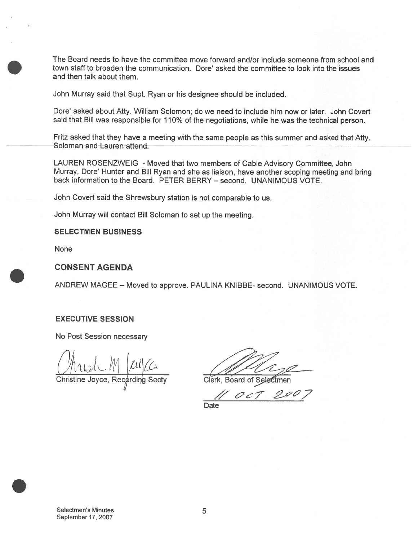The Board needs to have the committee move forward and/or include someone from school and town staff to broaden the communication. Dore' asked the committee to look into the issues and then talk about them.

John Murray said that Supt. Ryan or his designee should be included.

Dore' asked about Atty. William Solomon; do we need to include him now or later. John Covert said that Bill was responsible for 110% of the negotiations, while he was the technical person.

Fritz asked that they have <sup>a</sup> meeting with the same people as this summer and asked that Atty. Soloman and Lauren attend.

LAUREN ROSENZWEIG - Moved that two members of Cable Advisory Committee, John Murray, Dote' Hunter and Bill Ryan and she as liaison, have another scoping meeting and bring back information to the Board. PETER BERRY — second. UNANIMOUS VOTE.

John Covert said the Shrewsbury station is not comparable to us.

John Murray will contact Bill Soloman to set up the meeting.

#### SELECTMEN BUSINESS

None

### CONSENT AGENDA

ANDREW MAGEE — Moved to approve. PAULINA KNIBBE- second. UNANIMOUS VOTE.

### EXECUTIVE SESSION

No Post Session necessary

 $M$  fulco

Christine Joyce, Recording Secty \_\_\_\_\_\_\_\_Clerk, Board of Selectmen

 $OCT$ Date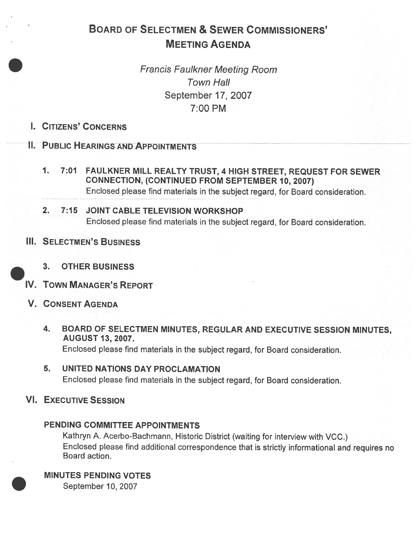# BOARD OF SELECTMEN & SEWER COMMISSIONERS' MEETING AGENDA

Francis Faulkner Meeting Room Town Hall September 17, 2007 7:00 PM

I. CITIZENS' CONCERNS

II. PUBLIC HEARINGS AND APPOINTMENTS

1. 7:01 FAULKNER MILL REALTY TRUST, <sup>4</sup> HIGH STREET, REQUEST FOR SEWER CONNECTION, (CONTINUED FROM SEPTEMBER 10, 2007) Enclosed <sup>p</sup>lease find materials in the subject regard, for Board consideration.

# 2. 7:15 JOINT CABLE TELEVISION WORKSHOP Enclosed <sup>p</sup>lease find materials in the subject regard, for Board consideration.

III. SELECTMEN'S BUSINESS



- 3. OTHER BUSINESS
- IV. TOWN MANAGER'S REPORT
- V. CONSENT AGENDA
	- 4. BOARD OF SELECTMEN MINUTES, REGULAR AND EXECUTIVE SESSION MINUTES, AUGUST 13, 2007. Enclosed <sup>p</sup>lease find materials in the subject regard, for Board consideration.
	- 5. UNITED NATIONS DAY PROCLAMATION Enclosed <sup>p</sup>lease find materials in the subject regard, for Board consideration.
- VI. EXECUTIVE SESSION

## PENDING COMMITTEE APPOINTMENTS

Kathryn A. Acerbo-Bachmann, Historic District (waiting for interview with VCC.) Enclosed <sup>p</sup>lease find additional correspondence that is strictly informational and requires no Board action.

MINUTES PENDING VOTES

September 10, 2007